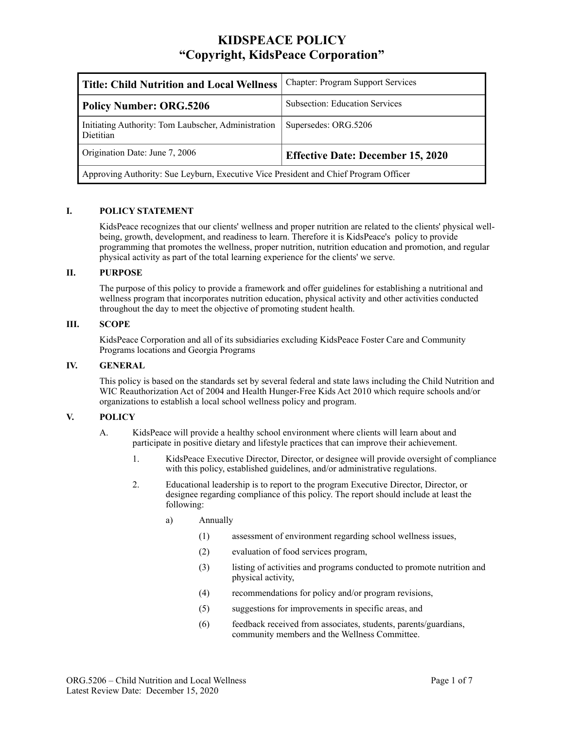# **KIDSPEACE POLICY "Copyright, KidsPeace Corporation"**

| <b>Title: Child Nutrition and Local Wellness</b>                                     | <b>Chapter: Program Support Services</b> |
|--------------------------------------------------------------------------------------|------------------------------------------|
| <b>Policy Number: ORG.5206</b>                                                       | <b>Subsection: Education Services</b>    |
| Initiating Authority: Tom Laubscher, Administration<br>Dietitian                     | Supersedes: ORG.5206                     |
| Origination Date: June 7, 2006                                                       | <b>Effective Date: December 15, 2020</b> |
| Approving Authority: Sue Leyburn, Executive Vice President and Chief Program Officer |                                          |

### **I. POLICY STATEMENT**

KidsPeace recognizes that our clients' wellness and proper nutrition are related to the clients' physical wellbeing, growth, development, and readiness to learn. Therefore it is KidsPeace's policy to provide programming that promotes the wellness, proper nutrition, nutrition education and promotion, and regular physical activity as part of the total learning experience for the clients' we serve.

### **II. PURPOSE**

The purpose of this policy to provide a framework and offer guidelines for establishing a nutritional and wellness program that incorporates nutrition education, physical activity and other activities conducted throughout the day to meet the objective of promoting student health.

### **III. SCOPE**

KidsPeace Corporation and all of its subsidiaries excluding KidsPeace Foster Care and Community Programs locations and Georgia Programs

#### **IV. GENERAL**

This policy is based on the standards set by several federal and state laws including the Child Nutrition and WIC Reauthorization Act of 2004 and Health Hunger-Free Kids Act 2010 which require schools and/or organizations to establish a local school wellness policy and program.

## **V. POLICY**

A. KidsPeace will provide a healthy school environment where clients will learn about and participate in positive dietary and lifestyle practices that can improve their achievement.

- 1. KidsPeace Executive Director, Director, or designee will provide oversight of compliance with this policy, established guidelines, and/or administrative regulations.
- 2. Educational leadership is to report to the program Executive Director, Director, or designee regarding compliance of this policy. The report should include at least the following:
	- a) Annually
		- (1) assessment of environment regarding school wellness issues,
		- (2) evaluation of food services program,
		- (3) listing of activities and programs conducted to promote nutrition and physical activity,
		- (4) recommendations for policy and/or program revisions,
		- (5) suggestions for improvements in specific areas, and
		- (6) feedback received from associates, students, parents/guardians, community members and the Wellness Committee.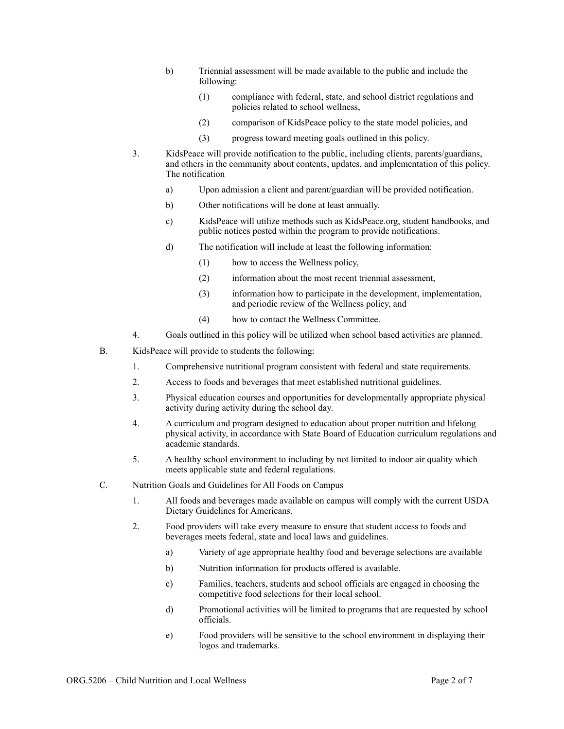- b) Triennial assessment will be made available to the public and include the following:
	- (1) compliance with federal, state, and school district regulations and policies related to school wellness,
	- (2) comparison of KidsPeace policy to the state model policies, and
	- (3) progress toward meeting goals outlined in this policy.
- 3. KidsPeace will provide notification to the public, including clients, parents/guardians, and others in the community about contents, updates, and implementation of this policy. The notification
	- a) Upon admission a client and parent/guardian will be provided notification.
	- b) Other notifications will be done at least annually.
	- c) KidsPeace will utilize methods such as KidsPeace.org, student handbooks, and public notices posted within the program to provide notifications.
	- d) The notification will include at least the following information:
		- (1) how to access the Wellness policy,
		- (2) information about the most recent triennial assessment,
		- (3) information how to participate in the development, implementation, and periodic review of the Wellness policy, and
		- (4) how to contact the Wellness Committee.
- 4. Goals outlined in this policy will be utilized when school based activities are planned.
- B. KidsPeace will provide to students the following:
	- 1. Comprehensive nutritional program consistent with federal and state requirements.
	- 2. Access to foods and beverages that meet established nutritional guidelines.
	- 3. Physical education courses and opportunities for developmentally appropriate physical activity during activity during the school day.
	- 4. A curriculum and program designed to education about proper nutrition and lifelong physical activity, in accordance with State Board of Education curriculum regulations and academic standards.
	- 5. A healthy school environment to including by not limited to indoor air quality which meets applicable state and federal regulations.
- C. Nutrition Goals and Guidelines for All Foods on Campus
	- 1. All foods and beverages made available on campus will comply with the current USDA Dietary Guidelines for Americans.
	- 2. Food providers will take every measure to ensure that student access to foods and beverages meets federal, state and local laws and guidelines.
		- a) Variety of age appropriate healthy food and beverage selections are available
		- b) Nutrition information for products offered is available.
		- c) Families, teachers, students and school officials are engaged in choosing the competitive food selections for their local school.
		- d) Promotional activities will be limited to programs that are requested by school officials.
		- e) Food providers will be sensitive to the school environment in displaying their logos and trademarks.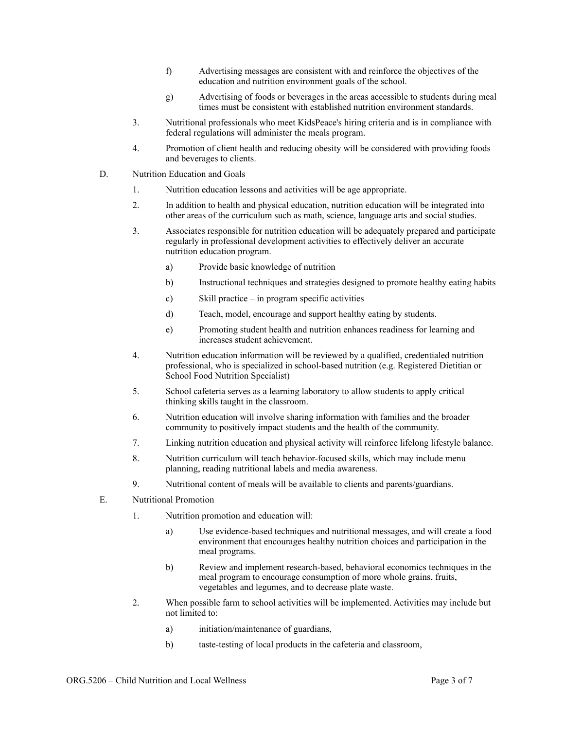- f) Advertising messages are consistent with and reinforce the objectives of the education and nutrition environment goals of the school.
- g) Advertising of foods or beverages in the areas accessible to students during meal times must be consistent with established nutrition environment standards.
- 3. Nutritional professionals who meet KidsPeace's hiring criteria and is in compliance with federal regulations will administer the meals program.
- 4. Promotion of client health and reducing obesity will be considered with providing foods and beverages to clients.
- D. Nutrition Education and Goals
	- 1. Nutrition education lessons and activities will be age appropriate.
	- 2. In addition to health and physical education, nutrition education will be integrated into other areas of the curriculum such as math, science, language arts and social studies.
	- 3. Associates responsible for nutrition education will be adequately prepared and participate regularly in professional development activities to effectively deliver an accurate nutrition education program.
		- a) Provide basic knowledge of nutrition
		- b) Instructional techniques and strategies designed to promote healthy eating habits
		- c) Skill practice in program specific activities
		- d) Teach, model, encourage and support healthy eating by students.
		- e) Promoting student health and nutrition enhances readiness for learning and increases student achievement.
	- 4. Nutrition education information will be reviewed by a qualified, credentialed nutrition professional, who is specialized in school-based nutrition (e.g. Registered Dietitian or School Food Nutrition Specialist)
	- 5. School cafeteria serves as a learning laboratory to allow students to apply critical thinking skills taught in the classroom.
	- 6. Nutrition education will involve sharing information with families and the broader community to positively impact students and the health of the community.
	- 7. Linking nutrition education and physical activity will reinforce lifelong lifestyle balance.
	- 8. Nutrition curriculum will teach behavior-focused skills, which may include menu planning, reading nutritional labels and media awareness.
	- 9. Nutritional content of meals will be available to clients and parents/guardians.
- E. Nutritional Promotion
	- 1. Nutrition promotion and education will:
		- a) Use evidence-based techniques and nutritional messages, and will create a food environment that encourages healthy nutrition choices and participation in the meal programs.
		- b) Review and implement research-based, behavioral economics techniques in the meal program to encourage consumption of more whole grains, fruits, vegetables and legumes, and to decrease plate waste.
	- 2. When possible farm to school activities will be implemented. Activities may include but not limited to:
		- a) initiation/maintenance of guardians,
		- b) taste-testing of local products in the cafeteria and classroom,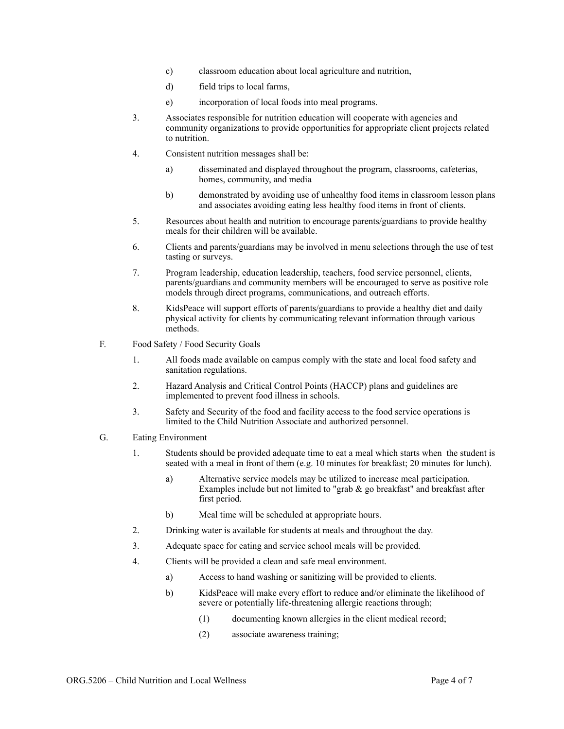- c) classroom education about local agriculture and nutrition,
- d) field trips to local farms,
- e) incorporation of local foods into meal programs.
- 3. Associates responsible for nutrition education will cooperate with agencies and community organizations to provide opportunities for appropriate client projects related to nutrition.
- 4. Consistent nutrition messages shall be:
	- a) disseminated and displayed throughout the program, classrooms, cafeterias, homes, community, and media
	- b) demonstrated by avoiding use of unhealthy food items in classroom lesson plans and associates avoiding eating less healthy food items in front of clients.
- 5. Resources about health and nutrition to encourage parents/guardians to provide healthy meals for their children will be available.
- 6. Clients and parents/guardians may be involved in menu selections through the use of test tasting or surveys.
- 7. Program leadership, education leadership, teachers, food service personnel, clients, parents/guardians and community members will be encouraged to serve as positive role models through direct programs, communications, and outreach efforts.
- 8. KidsPeace will support efforts of parents/guardians to provide a healthy diet and daily physical activity for clients by communicating relevant information through various methods.
- F. Food Safety / Food Security Goals
	- 1. All foods made available on campus comply with the state and local food safety and sanitation regulations.
	- 2. Hazard Analysis and Critical Control Points (HACCP) plans and guidelines are implemented to prevent food illness in schools.
	- 3. Safety and Security of the food and facility access to the food service operations is limited to the Child Nutrition Associate and authorized personnel.
- G. Eating Environment
	- 1. Students should be provided adequate time to eat a meal which starts when the student is seated with a meal in front of them (e.g. 10 minutes for breakfast; 20 minutes for lunch).
		- a) Alternative service models may be utilized to increase meal participation. Examples include but not limited to "grab  $\&$  go breakfast" and breakfast after first period.
		- b) Meal time will be scheduled at appropriate hours.
	- 2. Drinking water is available for students at meals and throughout the day.
	- 3. Adequate space for eating and service school meals will be provided.
	- 4. Clients will be provided a clean and safe meal environment.
		- a) Access to hand washing or sanitizing will be provided to clients.
		- b) KidsPeace will make every effort to reduce and/or eliminate the likelihood of severe or potentially life-threatening allergic reactions through;
			- (1) documenting known allergies in the client medical record;
			- (2) associate awareness training;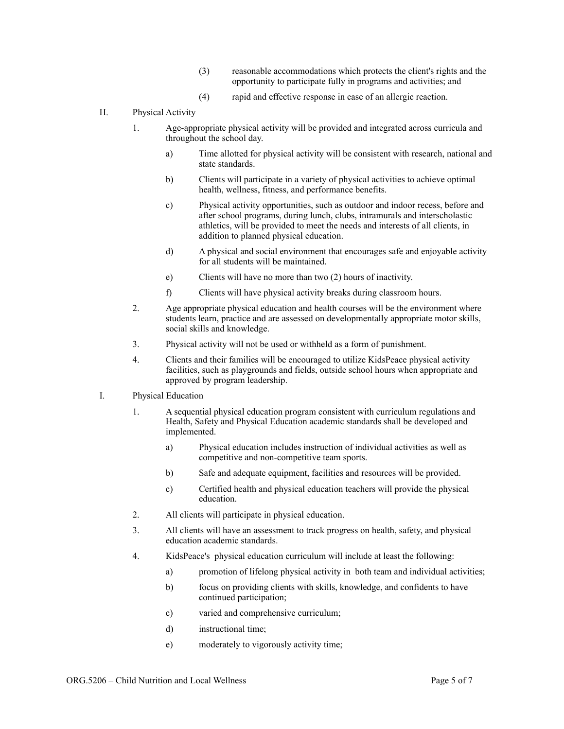- (3) reasonable accommodations which protects the client's rights and the opportunity to participate fully in programs and activities; and
- (4) rapid and effective response in case of an allergic reaction.
- H. Physical Activity
	- 1. Age-appropriate physical activity will be provided and integrated across curricula and throughout the school day.
		- a) Time allotted for physical activity will be consistent with research, national and state standards.
		- b) Clients will participate in a variety of physical activities to achieve optimal health, wellness, fitness, and performance benefits.
		- c) Physical activity opportunities, such as outdoor and indoor recess, before and after school programs, during lunch, clubs, intramurals and interscholastic athletics, will be provided to meet the needs and interests of all clients, in addition to planned physical education.
		- d) A physical and social environment that encourages safe and enjoyable activity for all students will be maintained.
		- e) Clients will have no more than two (2) hours of inactivity.
		- f) Clients will have physical activity breaks during classroom hours.
	- 2. Age appropriate physical education and health courses will be the environment where students learn, practice and are assessed on developmentally appropriate motor skills, social skills and knowledge.
	- 3. Physical activity will not be used or withheld as a form of punishment.
	- 4. Clients and their families will be encouraged to utilize KidsPeace physical activity facilities, such as playgrounds and fields, outside school hours when appropriate and approved by program leadership.
- I. Physical Education
	- 1. A sequential physical education program consistent with curriculum regulations and Health, Safety and Physical Education academic standards shall be developed and implemented.
		- a) Physical education includes instruction of individual activities as well as competitive and non-competitive team sports.
		- b) Safe and adequate equipment, facilities and resources will be provided.
		- c) Certified health and physical education teachers will provide the physical education.
	- 2. All clients will participate in physical education.
	- 3. All clients will have an assessment to track progress on health, safety, and physical education academic standards.
	- 4. KidsPeace's physical education curriculum will include at least the following:
		- a) promotion of lifelong physical activity in both team and individual activities;
		- b) focus on providing clients with skills, knowledge, and confidents to have continued participation;
		- c) varied and comprehensive curriculum;
		- d) instructional time;
		- e) moderately to vigorously activity time;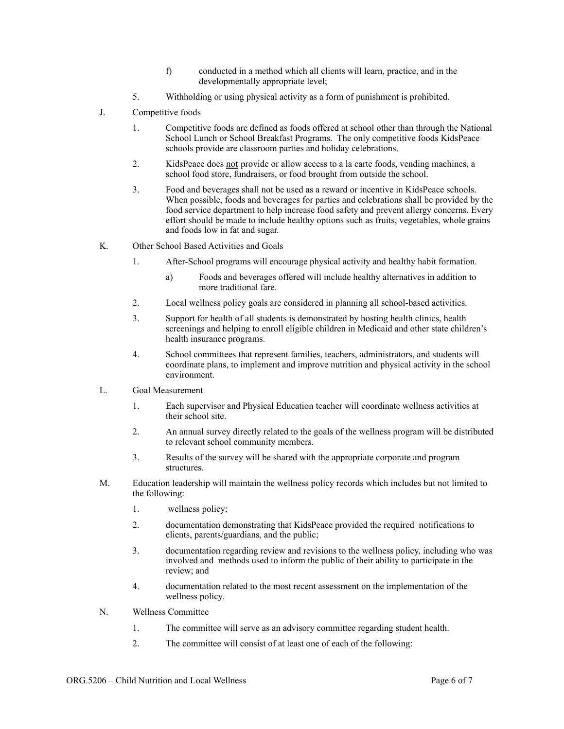- f) conducted in a method which all clients will learn, practice, and in the developmentally appropriate level;
- 5. Withholding or using physical activity as a form of punishment is prohibited.
- J. Competitive foods
	- 1. Competitive foods are defined as foods offered at school other than through the National School Lunch or School Breakfast Programs. The only competitive foods KidsPeace schools provide are classroom parties and holiday celebrations.
	- 2. KidsPeace does no**t** provide or allow access to a la carte foods, vending machines, a school food store, fundraisers, or food brought from outside the school.
	- 3. Food and beverages shall not be used as a reward or incentive in KidsPeace schools. When possible, foods and beverages for parties and celebrations shall be provided by the food service department to help increase food safety and prevent allergy concerns. Every effort should be made to include healthy options such as fruits, vegetables, whole grains and foods low in fat and sugar.
- K. Other School Based Activities and Goals
	- 1. After-School programs will encourage physical activity and healthy habit formation.
		- a) Foods and beverages offered will include healthy alternatives in addition to more traditional fare.
	- 2. Local wellness policy goals are considered in planning all school-based activities.
	- 3. Support for health of all students is demonstrated by hosting health clinics, health screenings and helping to enroll eligible children in Medicaid and other state children's health insurance programs.
	- 4. School committees that represent families, teachers, administrators, and students will coordinate plans, to implement and improve nutrition and physical activity in the school environment.
- L. Goal Measurement
	- 1. Each supervisor and Physical Education teacher will coordinate wellness activities at their school site.
	- 2. An annual survey directly related to the goals of the wellness program will be distributed to relevant school community members.
	- 3. Results of the survey will be shared with the appropriate corporate and program structures.
- M. Education leadership will maintain the wellness policy records which includes but not limited to the following:
	- 1. wellness policy;
	- 2. documentation demonstrating that KidsPeace provided the required notifications to clients, parents/guardians, and the public;
	- 3. documentation regarding review and revisions to the wellness policy, including who was involved and methods used to inform the public of their ability to participate in the review; and
	- 4. documentation related to the most recent assessment on the implementation of the wellness policy.
- N. Wellness Committee
	- 1. The committee will serve as an advisory committee regarding student health.
	- 2. The committee will consist of at least one of each of the following: